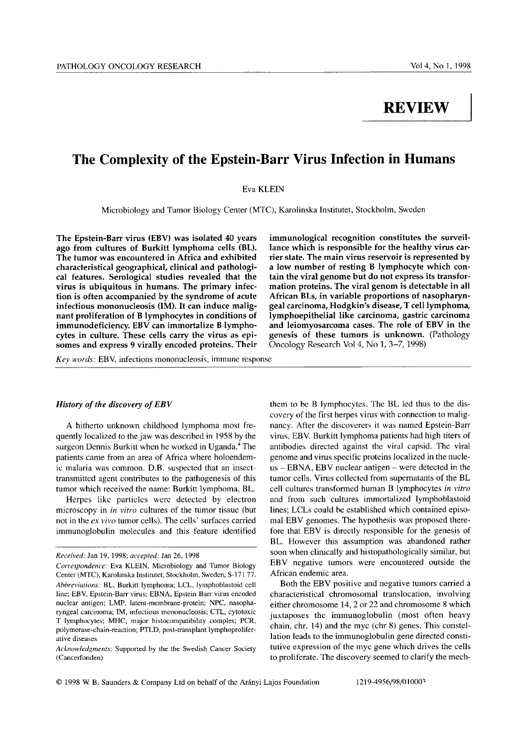# **REVIEW**

## **The Complexity of the Epstein-Barr Virus Infection in Humans**

Eva KLEIN

Microbiology and Tumor Biology Center (MTC), Karolinska Institutet, Stockholm, Sweden

**The Epstein-Barr virus (EBV) was isolated 40 years ago from cultures of Burkitt lymphoma cells (BL). The tumor was encountered in Africa and exhibited characteristical geographical, clinical and pathological features. Serological studies revealed that the virus is ubiquitous in humans. The primary infection is often accompanied by the syndrome of acute infectious mononucleosis (IM). It can induce malignant proliferation of B lymphocytes in conditions of immunodeficiency. EBV can immortalize B lymphocytes in culture. These cells carry the virus as episomes and express 9 virally encoded proteins. Their** 

*Key words:* EBV, infections mononucleosis, immune response

#### *History of the discovery of EBV*

A hitherto unknown childhood lymphoma most frequently localized to the jaw was described in 1958 by the surgeon Dennis Burkitt when he worked in Uganda.<sup>4</sup> The patients came from an area of Africa where holoendemic malaria was common. D.B. suspected that an insecttransmitted agent contributes to the pathogenesis of this tumor which received the name: Burkitt lymphoma, BL.

Herpes like particles were detected by electron microscopy in *in vitro* cultures of the tumor tissue (but not in the ex *vivo* tumor cells). The cells' surfaces carried immunoglobulin molecules and this feature identified

**immunological recognition constitutes the surveillance which is responsible for the healthy virus carrier state. The main virus reservoir is represented by a low number of resting B lymphocyte which contain the viral genome but do not express its transformation proteins. The viral genom is detectable in all African BLs, in variable proportions of nasopharyngeal carcinoma, Hodgkin's disease, T cell lymphoma, lymphoepithelial like carcinoma, gastric carcinoma and leiomyosarcoma cases. The role of EBV in the genesis of these tumors is unknown.** (Pathology Oncology Research Vol 4, No 1, 3-7, 1998)

them to be B lymphocytes. The BL led thus to the discovery of the first herpes virus with connection to malignancy. After the discoverers it was named Epstein-Barr virus, EBV. Burkitt lymphoma patients had high titers of antibodies directed against the viral capsid. The viral genome and virus specific proteins localized in the nucle $us - EBNA$ ,  $EBV$  nuclear antigen – were detected in the tumor cells. Virus collected from supernatants of the BL cell cultures transformed human B lymphocytes *in vitro* and from such cultures immortalized lymphoblastoid lines; LCLs could be established which contained episomal EBV genomes. The hypothesis was proposed therefore that EBV is directly responsible for the genesis of BL. However this assumption was abandoned rather soon when clinically and histopathologically similar, but EBV negative tumors were encountered outside the African endemic area.

Both the EBV positive and negative tumors carried a characteristical chromosomal translocation, involving either chromosome 14, 2 or 22 and chromosome 8 which juxtaposes the immunoglobulin (most often heavy chain, chr. 14) and the myc (chr 8) genes. This constellation leads to the immunoglobulin gene directed constitutive expression of the myc gene which drives the cells to proliferate. The discovery seemed to clarify the mech-

 $\degree$  1998 W. B. Saunders & Company Ltd on behalf of the Arányi Lajos Foundation 1219-4956/98/01000<sup>2</sup>

*Received:* Jan 19, 1998; *accepted:* Jan 26, 1998

*Correspondence:* Eva KLEIN, Microbiology and Tumor Biology Center (MTC), Karolinska Institutet, Stockholm, Sweden, S-171 77. *Abbreviations:* BL, Burkitt lymphoma; LCL, lymphoblastoid cell line; EBV, Epstein-Barr virus; EBNA, Epstein Barr virus encoded nuclear antigen; LMP, latent-membrane-protein; NPC, nasopharyngeal carcinoma; IM, infectious mononucleosis; CTL, cytotoxic T lymphocytes; MHC, major histocompatibility comples; PCR, polymerase-chain-reaction; PTLD, post-transplant lymphoproliferative diseases

*Acknowledgments:* Supported by the the Swedish Cancer Society (Cancerfonden)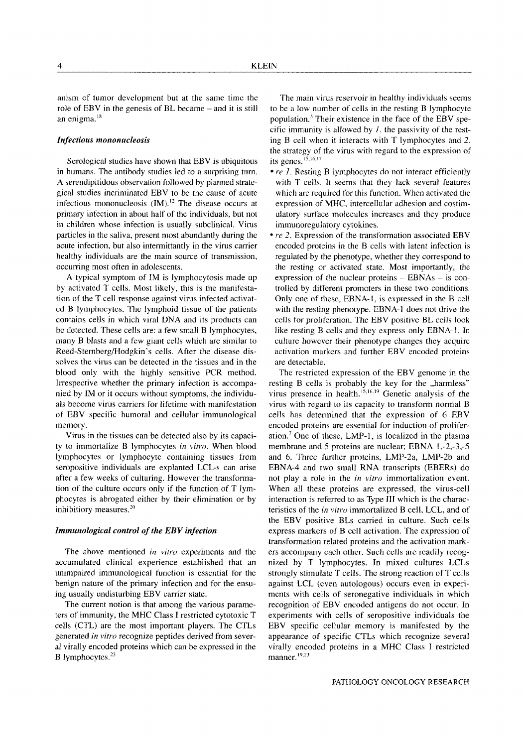anism of tumor development but at the same time the role of EBV in the genesis of BL became - and it is still an enigma.<sup>18</sup>

#### *Infectious mononucleosis*

Serological studies have shown that EBV is ubiquitous in humans. The antibody studies led to a surprising turn. A serendipitidous observation followed by planned strategical studies incriminated EBV to be the cause of acute infectious mononucleosis  $(IM).<sup>12</sup>$  The disease occurs at primary infection in about half of the individuals, but not in children whose infection is usually subclinical. Virus particles in the saliva, present most abundantly during the acute infection, but also intermittantly in the virus carrier healthy individuals are the main source of transmission, occurring most often in adolescents.

A typical symptom of IM is lymphocytosis made up by activated T cells. Most likely, this is the manifestation of the T cell response against virus infected activated B lymphocytes. The lymphoid tissue of the patients contains cells in which viral DNA and its products can be detected. These cells are: a few small B lymphocytes, many B blasts and a few giant ceils which are similar to Reed-Stemberg/Hodgkin's cells. After the disease dissolves the virus can be detected in the tissues and in the blood only with the highly sensitive PCR method. Irrespective whether the primary infection is accompanied by IM or it occurs without symptoms, the individuals become virus carriers for lifetime with manifestation of EBV specific humoral and cellular immunological memory.

Virus in the tissues can be detected also by its capacity to immortalize B lymphocytes *in vitro.* When blood lymphocytes or lymphocyte containing tissues from seropositive individuals are explanted LCL-s can arise after a few weeks of culturing. However the transformation of the culture occurs only if the function of T lymphocytes is abrogated either by their elimination or by inhibitiory measures.<sup>20</sup>

#### *Immunological control of the EBV infection*

The above mentioned *in vitro* experiments and the accumulated clinical experience established that an unimpaired immunological function is essential for the benign nature of the primary infection and for the ensuing usually undisturbing EBV carrier state.

The current notion is that among the various parameters of immunity, the MHC Class I restricted cytotoxic T cells (CTL) are the most important players. The CTLs generated *in vitro* recognize peptides derived from several vitally encoded proteins which can be expressed in the B lymphocytes.<sup>23</sup>

The main virus reservoir in healthy individuals seems to be a low number of cells in the resting B lymphocyte population.<sup>5</sup> Their existence in the face of the EBV specific immunity is allowed by  $I$ , the passivity of the resting B cell when it interacts with T lymphocytes and 2. the strategy of the virus with regard to the expression of its genes. $15,16,17$ 

- $\bullet$  re 1. Resting B lymphocytes do not interact efficiently with T cells. It seems that they lack several features which are required for this function. When activated the expression of MHC, intercellular adhesion and costimulatory surface molecules increases and they produce immunoregulatory cytokines.
- *re* 2. Expression of the transformation associated EBV encoded proteins in the B cells with latent infection is regulated by the phenotype, whether they correspond to the resting or activated state. Most importantly, the expression of the nuclear proteins  $-$  EBNAs  $-$  is controlled by different promoters in these two conditions. Only one of these, EBNA-1, is expressed in the B cell with the resting phenotype. EBNA-1 does not drive the cells for proliferation. The EBV positive BL cells look like resting B cells and they express only EBNA-I. In culture however their phenotype changes they acquire activation markers and further EBV encoded proteins are detectable.

The restricted expression of the EBV genome in the resting B cells is probably the key for the ,,harmless" virus presence in health.  $^{15,16,19}$  Genetic analysis of the virus with regard to its capacity to transform normal B cells has determined that the expression of 6 EBV encoded proteins are essential for induction of proliferation.<sup>7</sup> One of these, LMP-1, is localized in the plasma membrane and 5 proteins are nuclear; EBNA 1,-2,-3,-5 and 6. Three further proteins, LMP-2a, LMP-2b and EBNA-4 and two small RNA transcripts (EBERs) do not play a role in the *in vitro* immortalization event. When all these proteins are expressed, the virus-cell interaction is referred to as Type Ill which is the characteristics of the *in vitro* immortalized B cell, LCL, and of the EBV positive BLs carried in culture. Such cells express markers of B cell activation. The expression of transformation related proteins and the activation markers accompany each other. Such cells are readily recognized by T lymphocytes. In mixed cultures LCLs strongly stimulate T cells. The strong reaction of T ceils against LCL (even autologous) occurs even in experiments with cells of seronegative individuals in which recognition of EBV encoded antigens do not occur. In experiments with cells of seropositive individuals the EBV specific cellular memory is manifested by the appearance of specific CTLs which recognize several viraIly encoded proteins in a MHC Class I restricted manner, 19,23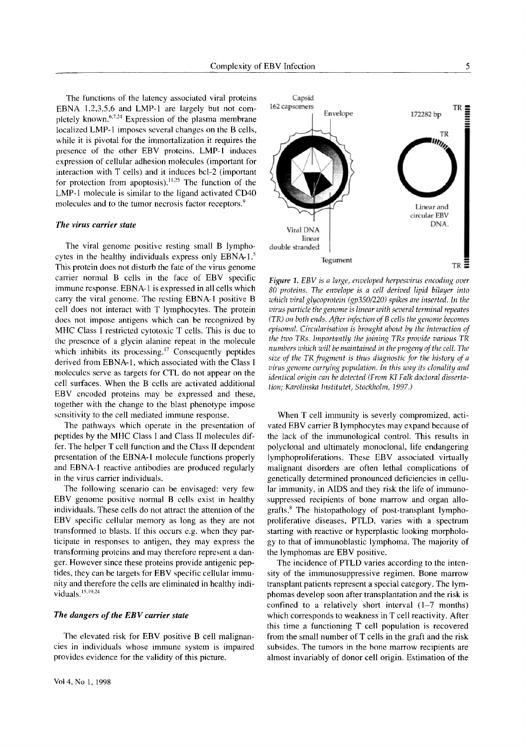The functions of the latency associated viral proteins EBNA 1,2,3,5,6 and LMP-1 are largely but not completely known.<sup>6,7.24</sup> Expression of the plasma membrane localized LMP-1 imposes several changes on the B cells, while it is pivotal for the immortalization it requires the presence of the other EBV proteins. LMP-I induces expression of cellular adhesion molecules (important for interaction with T cells) and it induces bcl-2 (important for protection from apoptosis).  $11.25$  The function of the LMP-1 molecule is similar to the ligand activated CD40 molecules and to the tumor necrosis factor receptors.<sup>9</sup>

#### *The virus carrier state*

The viral genome positive resting small B lymphocytes in the healthy individuals express only EBNA- $1<sup>5</sup>$ This protein does not disturb the fate of the virus genome carrier normal B cells in the face of EBV specific immune response. EBNA-1 is expressed in all cells which carry the viral genome. The resting EBNA-I positive B cell does not interact with T lymphocytes. The protein does not impose antigens which can be recognized by MHC Class I restricted cytotoxic T cells. This is due to the presence of a glycin alanine repeat in the molecule which inhibits its processing.<sup>17</sup> Consequently peptides derived from EBNA-1, which associated with the Class I molecules serve as targets for CTL do not appear on the cell surfaces. When the B cells are activated additional EBV encoded proteins may be expressed and these, together with the change to the blast phenotype impose sensitivity to the cell mediated immune response.

The pathways which operate in the presentation of peptides by the MHC Class I and Class II molecules differ. The helper T cell function and the Class II dependent presentation of the EBNA-1 molecule functions properly and EBNA-1 reactive antibodies are produced regularly in the virus carrier individuals.

The following scenario can be envisaged: very few EBV genome positive normal B cells exist in healthy individuals. These cells do not attract the attention of the EBV specific cellular memory as long as they are not transformed to blasts. If this occurs e.g. when they participate in responses to antigen, they may express the transforming proteins and may therefore represent a danger. However since these proteins provide antigenic peptides, they can be targets for EBV specific cellular immunity and therefore the cells are eliminated in healthy individuals.  $15,19,24$ 

#### *The dangers of the EBV carrier state*

The elevated risk for EBV positive B cell malignancies in individuals whose immune system is impaired provides evidence for the validity of this picture.



*Figure 1. EBV is a large, enveloped herpesvirus encoding over 80 proteins. The envelope is a cell derived lipid bilayer into which viral glycoprotein (gp350/220) spikes are inserted. In the virus particle the genome is linear with several terminal repeates (TR) on both ends. After infection of B cells the genome becomes episomal. Circularisation is brought about by the interaction of the two TRs. Importantly the joining TRs provide various TR numbers which will be maintained in the progeny of the cell. The size of the TR fragment is thus diagnostic for the history of a virus genome carrying population. In this way its clonality and identical origin can be detected (From KI Falk doctoral dissertation; Karolinska lnstitutet, Stockholm, 1997.)* 

When T cell immunity is severly compromized, activated EBV carrier B lymphocytes may expand because of the lack of the immunological control. This results in polyclonal and ultimately monoclonal, life endangering lymphoproliferations. These EBV associated virtually malignant disorders are often lethal complications of genetically determined pronounced deficiencies in cellular immunity, in AIDS and they risk the life of immunosuppressed recipients of bone marrow and organ allografts. $\delta$  The histopathology of post-transplant lymphoproliferative diseases, PTLD, varies with a spectrum starting with reactive or hyperplastic looking morphology to that of immunoblastic lymphoma. The majority of the lymphomas are EBV positive.

The incidence of PTLD varies according to the intensity of the immunosuppressive regimen. Bone marrow transplant patients represent a special category. The lymphomas develop soon after transplantation and the risk is confined to a relatively short interval  $(1-7$  months) which corresponds to weakness in T cell reactivity. After this time a functioning T cell population is recovered from the small number of  $T$  cells in the graft and the risk subsides. The tumors in the bone marrow recipients are almost invariably of donor cell origin. Estimation of the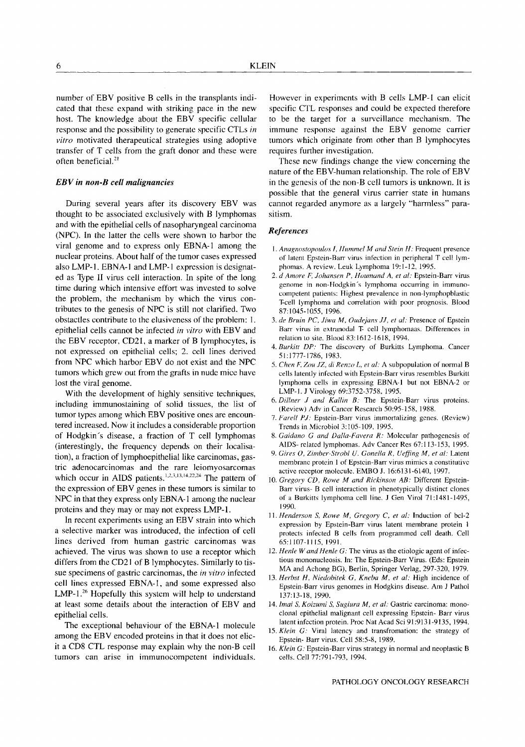number of EBV positive B cells in the transplants indicated that these expand with striking pace in the new host. The knowledge about the EBV specific cellular response and the possibility to generate specific CTLs *in vitro* motivated therapeutical strategies using adoptive transfer of T cells from the graft donor and these were often beneficial.<sup>21</sup>

### *EBV in non-B cell malignancies*

During several years after its discovery EBV was thought to be associated exclusively with B lymphomas and with the epithelial ceils of nasopharyngeal carcinoma (NPC). In the latter the cells were shown to harbor the viral genome and to express only EBNA-1 among the nuclear proteins. About half of the tumor cases expressed also LMP-1. EBNA-1 and LMP-1 expression is designated as Type lI virus cell interaction. In spite of the long time during which intensive effort was invested to solve the problem, the mechanism by which the virus contributes to the genesis of NPC is still not clarified. Two obstactles contribute to the elusiveness of the problem: 1. epithelial cells cannot be infected *in vitro* with EBV and the EBV receptor, CD21, a marker of B lymphocytes, is not expressed on epithelial cells; 2. cell lines derived from NPC which harbor EBV do not exist and the NPC tumors which grew out from the grafts in nude mice have lost the viral genome.

With the development of highly sensitive techniques, including immunostaining of solid tissues, the list of tumor types among which EBV positive ones are encountered increased. Now it includes a considerable proportion of Hodgkin's disease, a fraction of T cell lymphomas (interestingly, the frequency depends on their localisation), a fraction of lymphoepithelial like carcinomas, gastric adenocarcinomas and the rare leiomyosarcomas which occur in AIDS patients.<sup>1,2,3,13,14,22,24</sup> The pattern of the expression of EBV genes in these tumors is similar to NPC in that they express only EBNA-1 among the nuclear proteins and they may or may not express LMP-1.

In recent experiments using an EBV strain into which a selective marker was introduced, the infection of cell lines derived from human gastric carcinomas was achieved. The virus was shown to use a receptor which differs from the CD21 of B lymphocytes. Similarly to tissue specimens of gastric carcinomas, the *in vitro* infected cell lines expressed EBNA-1, and some expressed also LMP-1. $26$  Hopefully this system will help to understand at least some details about the interaction of EBV and epithelial cells.

The exceptional behaviour of the EBNA-1 molecule among the EBV encoded proteins in that it does not elicit a CD8 CTL response may explain why the non-B cell tumors can arise in immunocompetent individuals.

However in experiments with B cells LMP-I can elicit specific CTL responses and could be expected therefore to be the target for a surveillance mechanism. The immune response against the EBV genome carrier tumors which originate from other than B lymphocytes requires further investigation.

These new findings change the view concerning the nature of the EBV-human relationship. The role of EBV in the genesis of the non-B cell tumors is unknown. It is possible that the general virus carrier state in humans cannot regarded anymore as a largely "harmless" parasitism.

#### *References*

- *1. Anagnostopoulos I, llummel M and Stein H:* Frequent presence of latent Epstein-Barr virus infection in peripheral T cell lymphomas. A review. Leuk Lymphoma 19:1-12, 1995.
- 2. d Amore F, Johansen P, Houmand A, et al: Epstein-Barr virus genome in non-Hodgkin's lymphoma occurring in immunocompetent patients: Highest prevalence in non-lymphopblastic T-cell lymphoma and correlation with poor prognosis. Blood 87:1045-1055, 1996.
- *3. de Bruin PC, Jiwa M, Oudejans J.1, et al:* Presence of Epstein Barr virus in extranodal T- cell lymphomaas. Differences in relation to site. Blood 83:1612-1618, 1994.
- *4. Burkitt DP:* The discovery of Burkitts Lymphoma. Cancer 51:1777-1786, 1983.
- *5. Chen F, Zou JZ, di Renzo L, et al:* A subpopulation of normal B cells latently infected with Epstein-Barr virus resembles Burkitt lymphoma cells in expressing EBNA-1 but not EBNA-2 or LMP-I. J Virology 69:3752-3758, 1995.
- *6. Dillner J and Kallin B:* The Epstein-Barr virus proteins. (Review) Adv in Cancer Research 50:95-158, 1988,
- 7. Farell PJ: Epstein-Barr virus immortalizing genes. (Review) Trends in Microbiol 3:105-109, 1995.
- *8. Gaidano G and Dalla-Favera R:* Molecular pathogenesis of AIDS-related lymphomas. Adv Cancer Res 67:113-153, 1995.
- *9. Gires O, Zimber-Strobl U. Gonella R, Ueffing M, et al:* Latent membrane protein 1 of Epstcin-Barr virus mimics a constitutive active receptor molecule. EMBO J. 16:6131-6140, 1997.
- 10. *Gregory CD. Rowe M and Rickinson AB:* Different Epstein-Barr virus- B cell interaction in phenotypically distinct clones of a Burkitts lymphoma cell line. J Gen Virol 71:1481-1495, 1990.
- *l 1. Henderson S, Rowe M, Gregory C, et al:* Induction of bcl-2 expression by Epstein-Barr virus latent membrane protein 1 protects infected B cells from programmed cell death. Cell 65:1107-1115, 1991.
- 12. *Henle W and Henle G:* The virus as the etiologic agent of infectious mononucleosis. In: The Epstein-Barr Virus. (Eds: Epstein MA and Achong BG), Berlin, Springer Verlag, 297-320, 1979.
- 13. *Herbst H, Niedobitek G, Kneba M, et al:* High incidence of Epstein-Barr virus genomes in Hodgkins disease. Am J Pathol 137:13-18, 1990.
- 14. *lmai S, Koizumi S, Sugiura M, et al:* Gastric carcinoma: monoclonal epithelial malignant cell expressing Epstein- Barr virus latent infection protein. Proc Nat Acad Sci 91:9131-9135, 1994.
- 15. *Klein G:* Viral latency and transfromation: the strategy of Epstein- Barr virus. Cell 58:5-8, 1989.
- 16. *Klein G:* Epstein-Barr virus strategy in normal and neoplastic B cells. Cell 77:791-793, 1994.